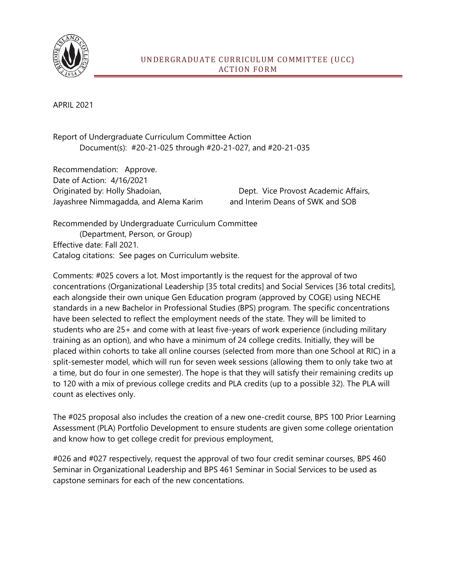

APRIL 2021

Report of Undergraduate Curriculum Committee Action Document(s): #20-21-025 through #20-21-027, and #20-21-035

Recommendation: Approve. Date of Action: 4/16/2021 Originated by: Holly Shadoian, Dept. Vice Provost Academic Affairs, Jayashree Nimmagadda, and Alema Karim and Interim Deans of SWK and SOB

Recommended by Undergraduate Curriculum Committee (Department, Person, or Group) Effective date: Fall 2021. Catalog citations: See pages on Curriculum website.

Comments: #025 covers a lot. Most importantly is the request for the approval of two concentrations (Organizational Leadership [35 total credits] and Social Services [36 total credits], each alongside their own unique Gen Education program (approved by COGE) using NECHE standards in a new Bachelor in Professional Studies (BPS) program. The specific concentrations have been selected to reflect the employment needs of the state. They will be limited to students who are 25+ and come with at least five-years of work experience (including military training as an option), and who have a minimum of 24 college credits. Initially, they will be placed within cohorts to take all online courses (selected from more than one School at RIC) in a split-semester model, which will run for seven week sessions (allowing them to only take two at a time, but do four in one semester). The hope is that they will satisfy their remaining credits up to 120 with a mix of previous college credits and PLA credits (up to a possible 32). The PLA will count as electives only.

The #025 proposal also includes the creation of a new one-credit course, BPS 100 Prior Learning Assessment (PLA) Portfolio Development to ensure students are given some college orientation and know how to get college credit for previous employment,

#026 and #027 respectively, request the approval of two four credit seminar courses, BPS 460 Seminar in Organizational Leadership and BPS 461 Seminar in Social Services to be used as capstone seminars for each of the new concentations.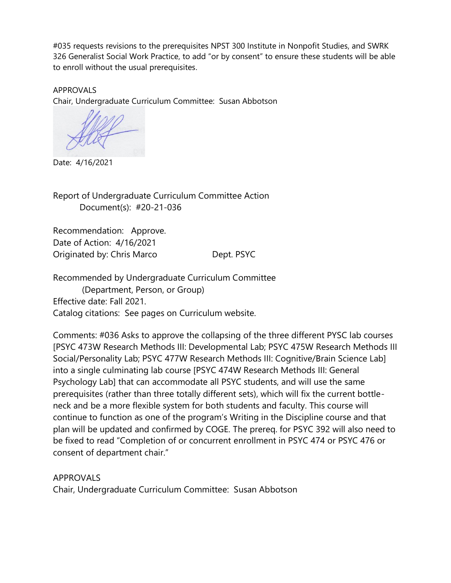#035 requests revisions to the prerequisites NPST 300 Institute in Nonpofit Studies, and SWRK 326 Generalist Social Work Practice, to add "or by consent" to ensure these students will be able to enroll without the usual prerequisites.

APPROVALS Chair, Undergraduate Curriculum Committee: Susan Abbotson

Date: 4/16/2021

Report of Undergraduate Curriculum Committee Action Document(s): #20-21-036

Recommendation: Approve. Date of Action: 4/16/2021 Originated by: Chris Marco Dept. PSYC

Recommended by Undergraduate Curriculum Committee (Department, Person, or Group) Effective date: Fall 2021. Catalog citations: See pages on Curriculum website.

Comments: #036 Asks to approve the collapsing of the three different PYSC lab courses [PSYC 473W Research Methods III: Developmental Lab; PSYC 475W Research Methods III Social/Personality Lab; PSYC 477W Research Methods III: Cognitive/Brain Science Lab] into a single culminating lab course [PSYC 474W Research Methods III: General Psychology Lab] that can accommodate all PSYC students, and will use the same prerequisites (rather than three totally different sets), which will fix the current bottleneck and be a more flexible system for both students and faculty. This course will continue to function as one of the program's Writing in the Discipline course and that plan will be updated and confirmed by COGE. The prereq. for PSYC 392 will also need to be fixed to read "Completion of or concurrent enrollment in PSYC 474 or PSYC 476 or consent of department chair."

APPROVALS Chair, Undergraduate Curriculum Committee: Susan Abbotson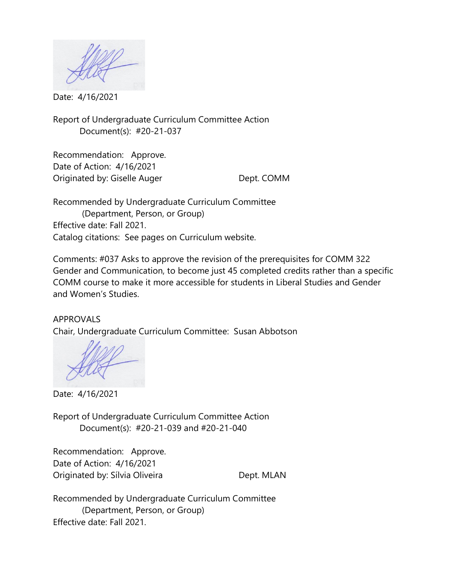Date: 4/16/2021

Report of Undergraduate Curriculum Committee Action Document(s): #20-21-037

Recommendation: Approve. Date of Action: 4/16/2021 Originated by: Giselle Auger Dept. COMM

Recommended by Undergraduate Curriculum Committee (Department, Person, or Group) Effective date: Fall 2021. Catalog citations: See pages on Curriculum website.

Comments: #037 Asks to approve the revision of the prerequisites for COMM 322 Gender and Communication, to become just 45 completed credits rather than a specific COMM course to make it more accessible for students in Liberal Studies and Gender and Women's Studies.

APPROVALS Chair, Undergraduate Curriculum Committee: Susan Abbotson

Date: 4/16/2021

Report of Undergraduate Curriculum Committee Action Document(s): #20-21-039 and #20-21-040

Recommendation: Approve. Date of Action: 4/16/2021 Originated by: Sílvia Oliveira **Dept. MLAN** 

Recommended by Undergraduate Curriculum Committee (Department, Person, or Group) Effective date: Fall 2021.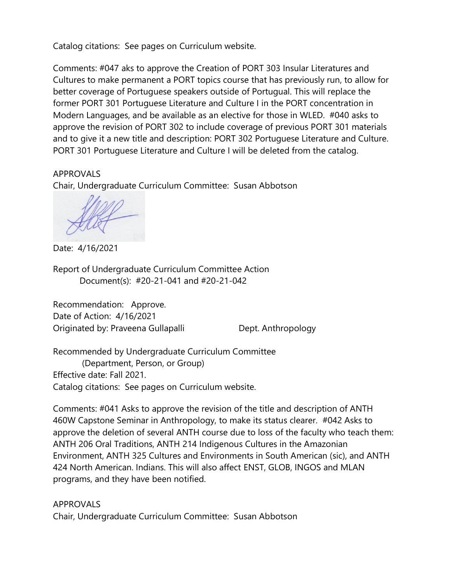Catalog citations: See pages on Curriculum website.

Comments: #047 aks to approve the Creation of PORT 303 Insular Literatures and Cultures to make permanent a PORT topics course that has previously run, to allow for better coverage of Portuguese speakers outside of Portugual. This will replace the former PORT 301 Portuguese Literature and Culture I in the PORT concentration in Modern Languages, and be available as an elective for those in WLED. #040 asks to approve the revision of PORT 302 to include coverage of previous PORT 301 materials and to give it a new title and description: PORT 302 Portuguese Literature and Culture. PORT 301 Portuguese Literature and Culture I will be deleted from the catalog.

## APPROVALS

Chair, Undergraduate Curriculum Committee: Susan Abbotson

Date: 4/16/2021

Report of Undergraduate Curriculum Committee Action Document(s): #20-21-041 and #20-21-042

Recommendation: Approve. Date of Action: 4/16/2021 Originated by: Praveena Gullapalli Dept. Anthropology

Recommended by Undergraduate Curriculum Committee (Department, Person, or Group) Effective date: Fall 2021. Catalog citations: See pages on Curriculum website.

Comments: #041 Asks to approve the revision of the title and description of ANTH 460W Capstone Seminar in Anthropology, to make its status clearer. #042 Asks to approve the deletion of several ANTH course due to loss of the faculty who teach them: ANTH 206 Oral Traditions, ANTH 214 Indigenous Cultures in the Amazonian Environment, ANTH 325 Cultures and Environments in South American (sic), and ANTH 424 North American. Indians. This will also affect ENST, GLOB, INGOS and MLAN programs, and they have been notified.

## APPROVALS

Chair, Undergraduate Curriculum Committee: Susan Abbotson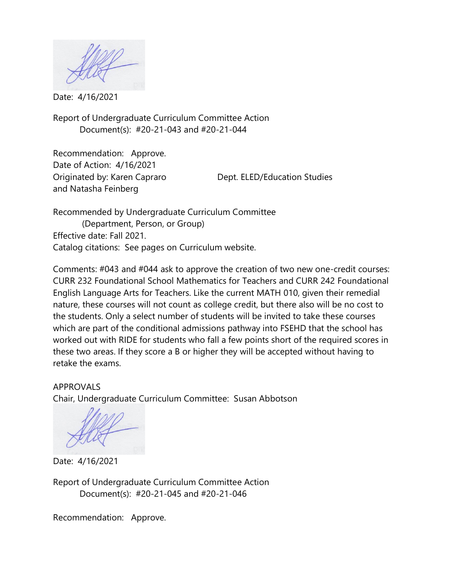Date: 4/16/2021

Report of Undergraduate Curriculum Committee Action Document(s): #20-21-043 and #20-21-044

Recommendation: Approve. Date of Action: 4/16/2021 Originated by: Karen Capraro Dept. ELED/Education Studies and Natasha Feinberg

Recommended by Undergraduate Curriculum Committee (Department, Person, or Group) Effective date: Fall 2021. Catalog citations: See pages on Curriculum website.

Comments: #043 and #044 ask to approve the creation of two new one-credit courses: CURR 232 Foundational School Mathematics for Teachers and CURR 242 Foundational English Language Arts for Teachers. Like the current MATH 010, given their remedial nature, these courses will not count as college credit, but there also will be no cost to the students. Only a select number of students will be invited to take these courses which are part of the conditional admissions pathway into FSEHD that the school has worked out with RIDE for students who fall a few points short of the required scores in these two areas. If they score a B or higher they will be accepted without having to retake the exams.

APPROVALS Chair, Undergraduate Curriculum Committee: Susan Abbotson

Date: 4/16/2021

Report of Undergraduate Curriculum Committee Action Document(s): #20-21-045 and #20-21-046

Recommendation: Approve.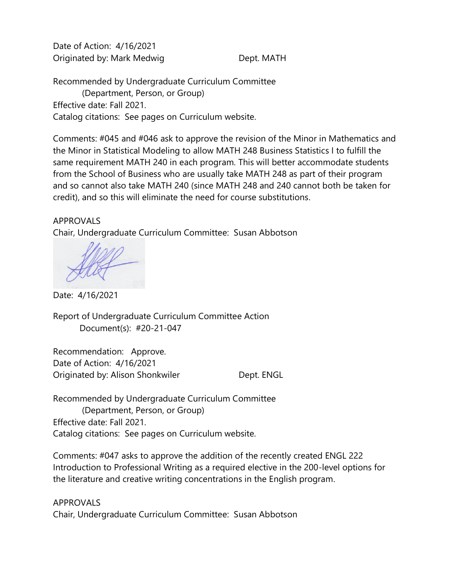Date of Action: 4/16/2021 Originated by: Mark Medwig Dept. MATH

Recommended by Undergraduate Curriculum Committee (Department, Person, or Group) Effective date: Fall 2021. Catalog citations: See pages on Curriculum website.

Comments: #045 and #046 ask to approve the revision of the Minor in Mathematics and the Minor in Statistical Modeling to allow MATH 248 Business Statistics I to fulfill the same requirement MATH 240 in each program. This will better accommodate students from the School of Business who are usually take MATH 248 as part of their program and so cannot also take MATH 240 (since MATH 248 and 240 cannot both be taken for credit), and so this will eliminate the need for course substitutions.

## APPROVALS

Chair, Undergraduate Curriculum Committee: Susan Abbotson

Date: 4/16/2021

Report of Undergraduate Curriculum Committee Action Document(s): #20-21-047

Recommendation: Approve. Date of Action: 4/16/2021 Originated by: Alison Shonkwiler **Dept. ENGL** 

Recommended by Undergraduate Curriculum Committee (Department, Person, or Group) Effective date: Fall 2021. Catalog citations: See pages on Curriculum website.

Comments: #047 asks to approve the addition of the recently created ENGL 222 Introduction to Professional Writing as a required elective in the 200-level options for the literature and creative writing concentrations in the English program.

APPROVALS Chair, Undergraduate Curriculum Committee: Susan Abbotson